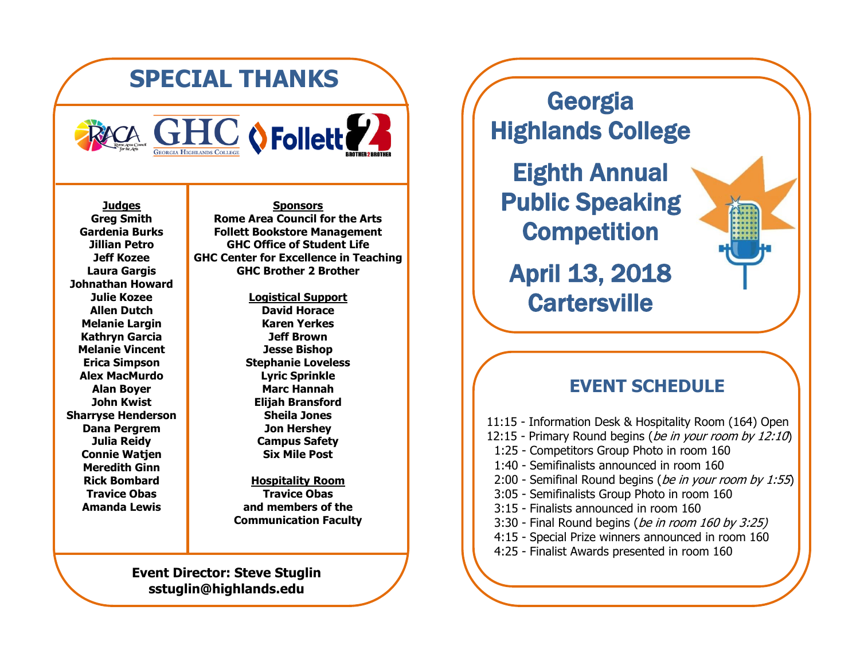## **SPECIAL THANKS**



**Judges Greg Smith Gardenia Burks Jillian Petro Jeff Kozee Laura Gargis Johnathan Howard Julie Kozee Allen Dutch Melanie Largin Kathryn Garcia Melanie Vincent Erica Simpson Alex MacMurdo Alan Boyer John Kwist Sharryse Henderson Dana Pergrem Julia Reidy Connie Watjen Meredith Ginn Rick Bombard Travice Obas Amanda Lewis**

**Sponsors Rome Area Council for the Arts Follett Bookstore Management GHC Office of Student Life GHC Center for Excellence in Teaching GHC Brother 2 Brother**

> **Logistical Support David Horace Karen Yerkes Jeff Brown Jesse Bishop Stephanie Loveless Lyric Sprinkle Marc Hannah Elijah Bransford Sheila Jones Jon Hershey Campus Safety Six Mile Post**

**Hospitality Room Travice Obas and members of the Communication Faculty**

## **Event Director: Steve Stuglin sstuglin@highlands.edu**

Georgia Highlands College

Eighth Annual Public Speaking **Competition** 

April 13, 2018 **Cartersville** 

## **EVENT SCHEDULE**

11:15 - Information Desk & Hospitality Room (164) Open 12:15 - Primary Round begins (be in your room by 12:10) 1:25 - Competitors Group Photo in room 160 1:40 - Semifinalists announced in room 160 2:00 - Semifinal Round begins (be in your room by 1:55) 3:05 - Semifinalists Group Photo in room 160 3:15 - Finalists announced in room 160 3:30 - Final Round begins (be in room 160 by 3:25) 4:15 - Special Prize winners announced in room 160 4:25 - Finalist Awards presented in room 160